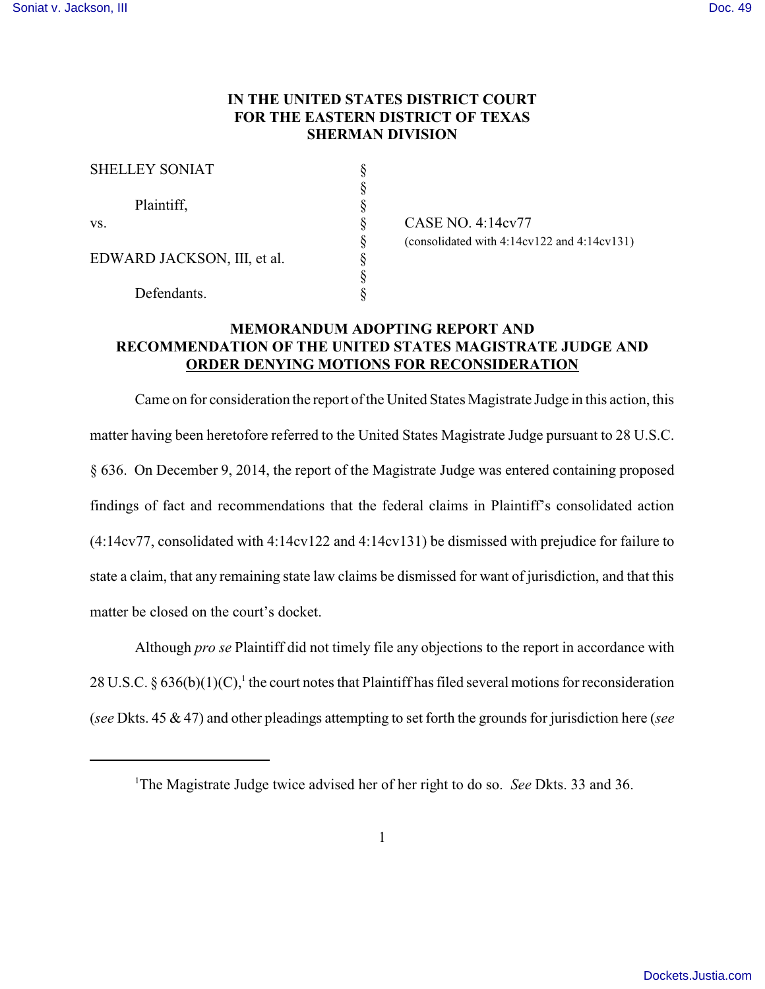## **IN THE UNITED STATES DISTRICT COURT FOR THE EASTERN DISTRICT OF TEXAS SHERMAN DIVISION**

| <b>SHELLEY SONIAT</b>       |  |
|-----------------------------|--|
|                             |  |
| Plaintiff,                  |  |
| VS.                         |  |
|                             |  |
| EDWARD JACKSON, III, et al. |  |
|                             |  |
| Defendants.                 |  |

 $\S$  CASE NO. 4:14cv77 § (consolidated with 4:14cv122 and 4:14cv131)  $\S$ 

## **MEMORANDUM ADOPTING REPORT AND RECOMMENDATION OF THE UNITED STATES MAGISTRATE JUDGE AND ORDER DENYING MOTIONS FOR RECONSIDERATION**

Came on for consideration the report of the United States Magistrate Judge in this action, this matter having been heretofore referred to the United States Magistrate Judge pursuant to 28 U.S.C. § 636. On December 9, 2014, the report of the Magistrate Judge was entered containing proposed findings of fact and recommendations that the federal claims in Plaintiff's consolidated action (4:14cv77, consolidated with 4:14cv122 and 4:14cv131) be dismissed with prejudice for failure to state a claim, that any remaining state law claims be dismissed for want of jurisdiction, and that this matter be closed on the court's docket.

Although *pro se* Plaintiff did not timely file any objections to the report in accordance with 28 U.S.C. § 636(b)(1)(C),<sup>1</sup> the court notes that Plaintiff has filed several motions for reconsideration (*see* Dkts. 45 & 47) and other pleadings attempting to set forth the grounds for jurisdiction here (*see*

<sup>1</sup>The Magistrate Judge twice advised her of her right to do so. *See* Dkts. 33 and 36.